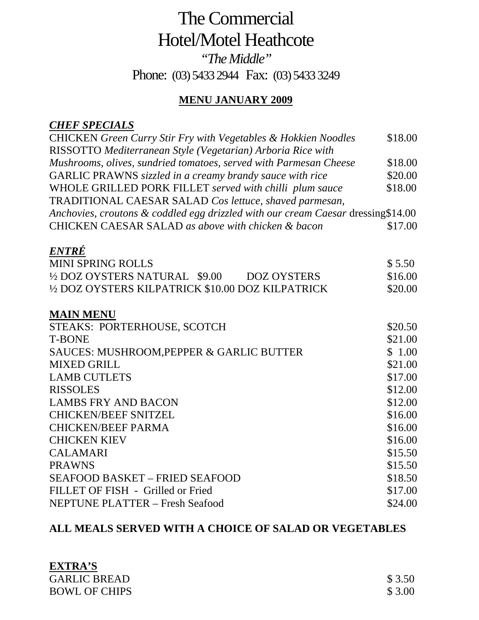## The Commercial Hotel/Motel Heathcote *"The Middle"*  Phone: (03) 5433 2944 Fax: (03) 5433 3249

### **MENU JANUARY 2009**

#### *CHEF SPECIALS*

| <b>CHICKEN</b> Green Curry Stir Fry with Vegetables & Hokkien Noodles            | \$18.00 |
|----------------------------------------------------------------------------------|---------|
| RISSOTTO Mediterranean Style (Vegetarian) Arboria Rice with                      |         |
| Mushrooms, olives, sundried tomatoes, served with Parmesan Cheese                | \$18.00 |
| GARLIC PRAWNS sizzled in a creamy brandy sauce with rice                         | \$20.00 |
| WHOLE GRILLED PORK FILLET served with chilli plum sauce                          | \$18.00 |
| TRADITIONAL CAESAR SALAD Cos lettuce, shaved parmesan,                           |         |
| Anchovies, croutons & coddled egg drizzled with our cream Caesar dressing\$14.00 |         |
| CHICKEN CAESAR SALAD as above with chicken & bacon                               | \$17.00 |
| ENTRÉ                                                                            |         |
| <b>MINI SPRING ROLLS</b>                                                         | \$5.50  |
| 1/2 DOZ OYSTERS NATURAL \$9.00<br><b>DOZ OYSTERS</b>                             | \$16.00 |
| 1/2 DOZ OYSTERS KILPATRICK \$10.00 DOZ KILPATRICK                                | \$20.00 |
| <b>MAIN MENU</b>                                                                 |         |
| STEAKS: PORTERHOUSE, SCOTCH                                                      | \$20.50 |
| <b>T-BONE</b>                                                                    | \$21.00 |
| SAUCES: MUSHROOM, PEPPER & GARLIC BUTTER                                         | \$1.00  |
| <b>MIXED GRILL</b>                                                               | \$21.00 |
| <b>LAMB CUTLETS</b>                                                              | \$17.00 |
| <b>RISSOLES</b>                                                                  | \$12.00 |
| <b>LAMBS FRY AND BACON</b>                                                       | \$12.00 |
| <b>CHICKEN/BEEF SNITZEL</b>                                                      | \$16.00 |
| <b>CHICKEN/BEEF PARMA</b>                                                        | \$16.00 |
| <b>CHICKEN KIEV</b>                                                              | \$16.00 |
| <b>CALAMARI</b>                                                                  | \$15.50 |
| <b>PRAWNS</b>                                                                    | \$15.50 |
| <b>SEAFOOD BASKET - FRIED SEAFOOD</b>                                            | \$18.50 |
| FILLET OF FISH - Grilled or Fried                                                | \$17.00 |
| <b>NEPTUNE PLATTER - Fresh Seafood</b>                                           | \$24.00 |

## **ALL MEALS SERVED WITH A CHOICE OF SALAD OR VEGETABLES**

| <b>EXTRA'S</b>       |         |
|----------------------|---------|
| <b>GARLIC BREAD</b>  | \$ 3.50 |
| <b>BOWL OF CHIPS</b> | \$ 3.00 |